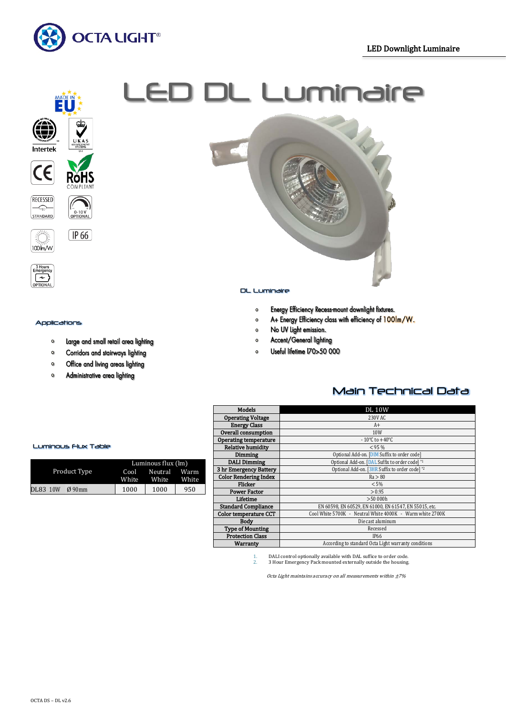



י<br>"0−10 V<br>OPTIONA

 $[\overline{IP 66}]$ 

 $\begin{matrix}\n\frac{1}{2} & \frac{1}{2} \\
\frac{1}{2} & \frac{1}{2} \\
\frac{1}{2} & \frac{1}{2}\n\end{matrix}$ 

 $\stackrel{\rightharpoonup }{=}$ 

STANDARD

Applications

 $\bullet$ 

# $\ddot{\mathbf{r}}$  is the set of the set of the contract  $\ddot{\mathbf{r}}$



#### DL Luminaire

- Energy Efficiency Recess-mount downlight fixtures.  $\mathbf{o}$
- A+ Energy Efficiency class with efficiency of 100lm/W.  $\bullet$
- $\bullet$ No UV Light emission.
- Accent/General lighting  $\bullet$
- Useful lifetime I70>50 000  $\circ$

Corridors and stairways lighting  $\mathbf{o}$ 

Large and small retail area lighting

- Office and living areas lighting  $\circ$
- Administrative area lighting  $\mathbf{o}$

## Main Technical Data

| Models                       | <b>DL10W</b>                                              |  |  |  |  |
|------------------------------|-----------------------------------------------------------|--|--|--|--|
| <b>Operating Voltage</b>     | 230V AC                                                   |  |  |  |  |
| <b>Energy Class</b>          | $A+$                                                      |  |  |  |  |
| Overall consumption          | 10 <sub>W</sub>                                           |  |  |  |  |
| <b>Operating temperature</b> | $-10^{\circ}$ C to $+40^{\circ}$ C                        |  |  |  |  |
| <b>Relative humidity</b>     | < 95%                                                     |  |  |  |  |
| Dimming                      | Optional Add-on. [DIM Suffix to order code]               |  |  |  |  |
| <b>DALI</b> Dimming          | Optional Add-on. [DAL Suffix to order code] *1            |  |  |  |  |
| 3 hr Emergency Battery       | Optional Add-on. [3HR Suffix to order code] *2            |  |  |  |  |
| <b>Color Rendering Index</b> | Ra > 80                                                   |  |  |  |  |
| Flicker                      | < 5%                                                      |  |  |  |  |
| <b>Power Factor</b>          | > 0.95                                                    |  |  |  |  |
| Lifetime                     | >50,000h                                                  |  |  |  |  |
| <b>Standard Compliance</b>   | EN 60598, EN 60529, EN 61000, EN 61547, EN 55015, etc.    |  |  |  |  |
| Color temperature CCT        | Cool White 5700K - Neutral White 4000K - Warm white 2700K |  |  |  |  |
| <b>Body</b>                  | Die cast aluminum                                         |  |  |  |  |
| <b>Type of Mounting</b>      | Recessed                                                  |  |  |  |  |
| <b>Protection Class</b>      | <b>IP66</b>                                               |  |  |  |  |
| Warranty                     | According to standard Octa Light warranty conditions      |  |  |  |  |

1. DALI control optionally available with DAL suffice to order code.<br>2. 3 Hour Emergency Pack mounted externally outside the housing 2. 3 Hour Emergency Pack mounted externally outside the housing.

Octa Light maintains accuracy on all measurements within  $±7%$ 

#### Luminous Flux Table

|                 |  |                     | Luminous flux (lm)    |       |     |  |
|-----------------|--|---------------------|-----------------------|-------|-----|--|
| Product Type    |  | Cool<br>White       | Neutral Warm<br>White | White |     |  |
| <b>DL83 10W</b> |  | $\varnothing$ 90 mm | 1000                  | 1000  | 950 |  |